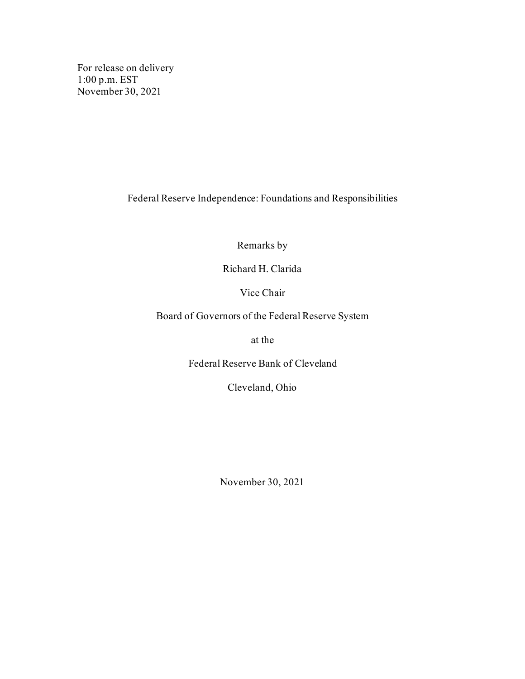For release on delivery 1:00 p.m. EST November 30, 2021

Federal Reserve Independence: Foundations and Responsibilities

Remarks by

Richard H. Clarida

Vice Chair

Board of Governors of the Federal Reserve System

at the

Federal Reserve Bank of Cleveland

Cleveland, Ohio

November 30, 2021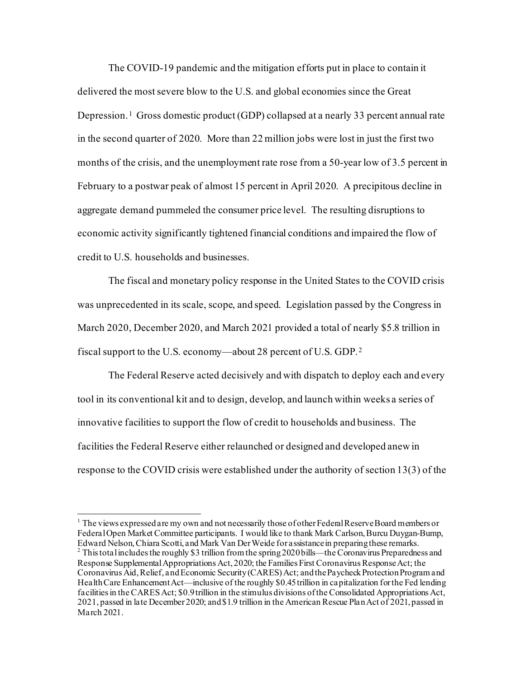The COVID-19 pandemic and the mitigation efforts put in place to contain it delivered the most severe blow to the U.S. and global economies since the Great Depression.<sup>[1](#page-1-0)</sup> Gross domestic product (GDP) collapsed at a nearly 33 percent annual rate in the second quarter of 2020. More than 22 million jobs were lost in just the first two months of the crisis, and the unemployment rate rose from a 50-year low of 3.5 percent in February to a postwar peak of almost 15 percent in April 2020. A precipitous decline in aggregate demand pummeled the consumer price level. The resulting disruptions to economic activity significantly tightened financial conditions and impaired the flow of credit to U.S. households and businesses.

The fiscal and monetary policy response in the United States to the COVID crisis was unprecedented in its scale, scope, and speed. Legislation passed by the Congress in March 2020, December 2020, and March 2021 provided a total of nearly \$5.8 trillion in fiscal support to the U.S. economy—about 28 percent of U.S. GDP. [2](#page-1-1)

The Federal Reserve acted decisively and with dispatch to deploy each and every tool in its conventional kit and to design, develop, and launch within weeks a series of innovative facilities to support the flow of credit to households and business. The facilities the Federal Reserve either relaunched or designed and developed anew in response to the COVID crisis were established under the authority of section 13(3) of the

<span id="page-1-0"></span> $<sup>1</sup>$  The views expressed are my own and not necessarily those of other Federal Reserve Board members or</sup> Federal Open Market Committee participants. I would like to thank Mark Carlson, Burcu Duygan-Bump, Edward Nelson, Chiara Scotti, and Mark Van Der Weide for assistance in preparing these remarks.

<span id="page-1-1"></span><sup>&</sup>lt;sup>2</sup> This total includes the roughly \$3 trillion from the spring 2020 bills—the Coronavirus Preparedness and Response Supplemental Appropriations Act, 2020; the Families First Coronavirus Response Act; the Coronavirus Aid, Relief, and Economic Security (CARES) Act; and the Paycheck Protection Program and Health Care Enhancement Act—inclusive of the roughly \$0.45 trillion in capitalization for the Fed lending facilities in the CARES Act; \$0.9 trillion in the stimulus divisions of the Consolidated Appropriations Act, 2021, passed in late December 2020; and \$1.9 trillion in the American Rescue Plan Act of 2021, passed in March 2021.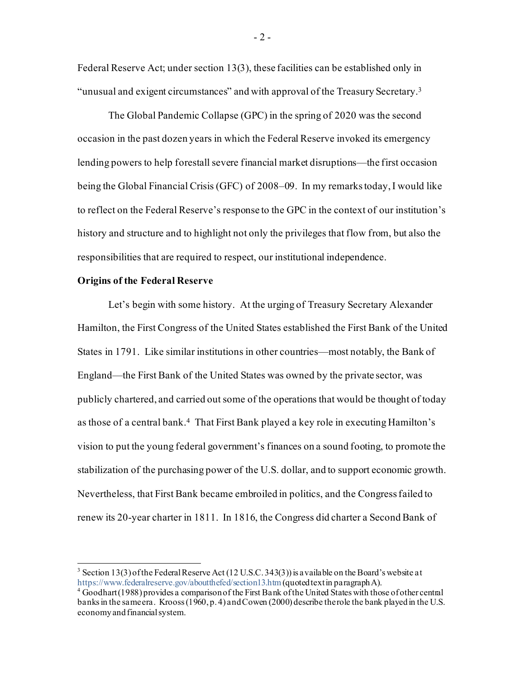Federal Reserve Act; under section 13(3), these facilities can be established only in "unusual and exigent circumstances" and with approval of the Treasury Secretary.[3](#page-2-0)

The Global Pandemic Collapse (GPC) in the spring of 2020 was the second occasion in the past dozen years in which the Federal Reserve invoked its emergency lending powers to help forestall severe financial market disruptions—the first occasion being the Global Financial Crisis (GFC) of 2008–09. In my remarks today, I would like to reflect on the Federal Reserve's response to the GPC in the context of our institution's history and structure and to highlight not only the privileges that flow from, but also the responsibilities that are required to respect, our institutional independence.

## **Origins of the Federal Reserve**

Let's begin with some history. At the urging of Treasury Secretary Alexander Hamilton, the First Congress of the United States established the First Bank of the United States in 1791. Like similar institutions in other countries—most notably, the Bank of England—the First Bank of the United States was owned by the private sector, was publicly chartered, and carried out some of the operations that would be thought of today as those of a central bank.[4](#page-2-1) That First Bank played a key role in executing Hamilton's vision to put the young federal government's finances on a sound footing, to promote the stabilization of the purchasing power of the U.S. dollar, and to support economic growth. Nevertheless, that First Bank became embroiled in politics, and the Congress failed to renew its 20-year charter in 1811. In 1816, the Congress did charter a Second Bank of

 $-2-$ 

<span id="page-2-0"></span><sup>&</sup>lt;sup>3</sup> Section 13(3) of the Federal Reserve Act (12 U.S.C. 343(3)) is a vailable on the Board's website at https://www.federalreserve.gov/about the fed/section 13.htm (quoted text in paragraph A).

<span id="page-2-1"></span> $\frac{4}{3}$  Goodhart (1988) provides a comparison of the First Bank of the United States with those of other central banks in the same era. Krooss (1960, p. 4) and Cowen (2000) describe the role the bank played in the U.S. economy and financial system.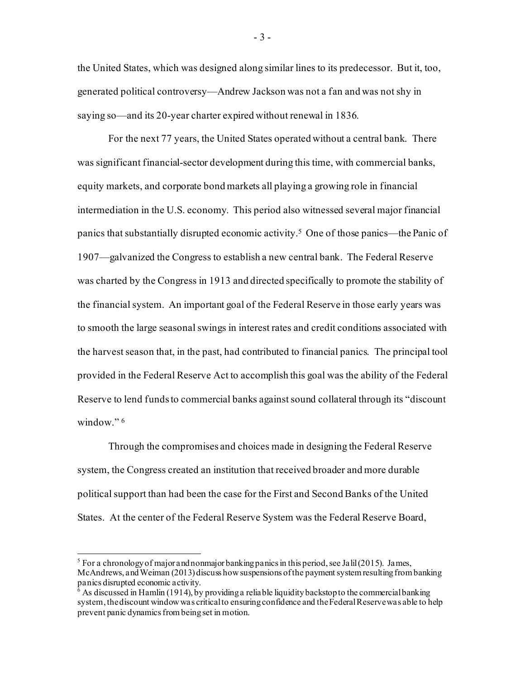the United States, which was designed along similar lines to its predecessor. But it, too, generated political controversy—Andrew Jackson was not a fan and was not shy in saying so—and its 20-year charter expired without renewal in 1836.

For the next 77 years, the United States operated without a central bank. There was significant financial-sector development during this time, with commercial banks, equity markets, and corporate bond markets all playing a growing role in financial intermediation in the U.S. economy. This period also witnessed several major financial panics that substantially disrupted economic activity.[5](#page-3-0) One of those panics—the Panic of 1907—galvanized the Congress to establish a new central bank. The Federal Reserve was charted by the Congress in 1913 and directed specifically to promote the stability of the financial system. An important goal of the Federal Reserve in those early years was to smooth the large seasonal swings in interest rates and credit conditions associated with the harvest season that, in the past, had contributed to financial panics. The principal tool provided in the Federal Reserve Act to accomplish this goal was the ability of the Federal Reserve to lend funds to commercial banks against sound collateral through its "discount window."<sup>[6](#page-3-1)</sup>

Through the compromises and choices made in designing the Federal Reserve system, the Congress created an institution that received broader and more durable political support than had been the case for the First and Second Banks of the United States. At the center of the Federal Reserve System was the Federal Reserve Board,

- 3 -

<span id="page-3-0"></span><sup>&</sup>lt;sup>5</sup> For a chronology of major and nonmajor banking panics in this period, see Jalil (2015). James, McAndrews, and Weiman (2013) discuss how suspensions of the payment system resulting from banking panics disrupted economic activity.

<span id="page-3-1"></span> $\frac{1}{6}$  As discussed in Hamlin (1914), by providing a reliable liquidity backstop to the commercial banking system, the discount window was critical to ensuring confidence and the Federal Reserve was able to help prevent panic dynamics from being set in motion.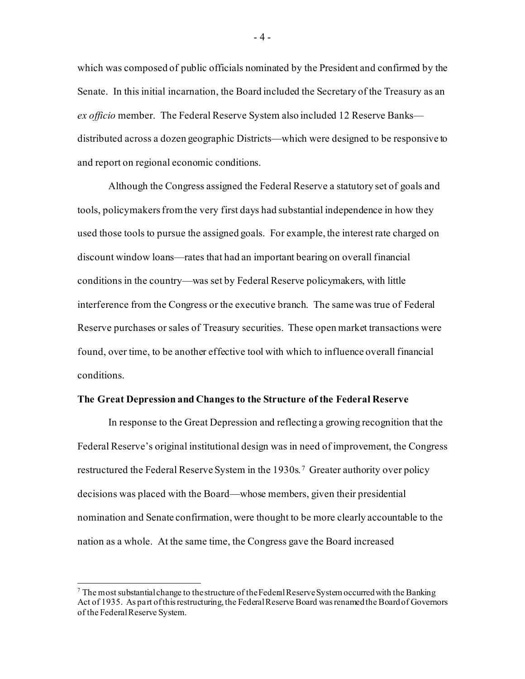which was composed of public officials nominated by the President and confirmed by the Senate. In this initial incarnation, the Board included the Secretary of the Treasury as an *ex officio* member. The Federal Reserve System also included 12 Reserve Banks distributed across a dozen geographic Districts—which were designed to be responsive to and report on regional economic conditions.

Although the Congress assigned the Federal Reserve a statutory set of goals and tools, policymakers from the very first days had substantial independence in how they used those tools to pursue the assigned goals. For example, the interest rate charged on discount window loans—rates that had an important bearing on overall financial conditions in the country—was set by Federal Reserve policymakers, with little interference from the Congress or the executive branch. The same was true of Federal Reserve purchases or sales of Treasury securities. These open market transactions were found, over time, to be another effective tool with which to influence overall financial conditions.

#### **The Great Depression and Changes to the Structure of the Federal Reserve**

In response to the Great Depression and reflecting a growing recognition that the Federal Reserve's original institutional design was in need of improvement, the Congress restructured the Federal Reserve System in the 1930s. [7](#page-4-0) Greater authority over policy decisions was placed with the Board—whose members, given their presidential nomination and Senate confirmation, were thought to be more clearly accountable to the nation as a whole. At the same time, the Congress gave the Board increased

<span id="page-4-0"></span> $^7$  The most substantial change to the structure of the Federal Reserve System occurred with the Banking Act of 1935. As part of this restructuring, the Federal Reserve Board was renamed the Board of Governors of the Federal Reserve System.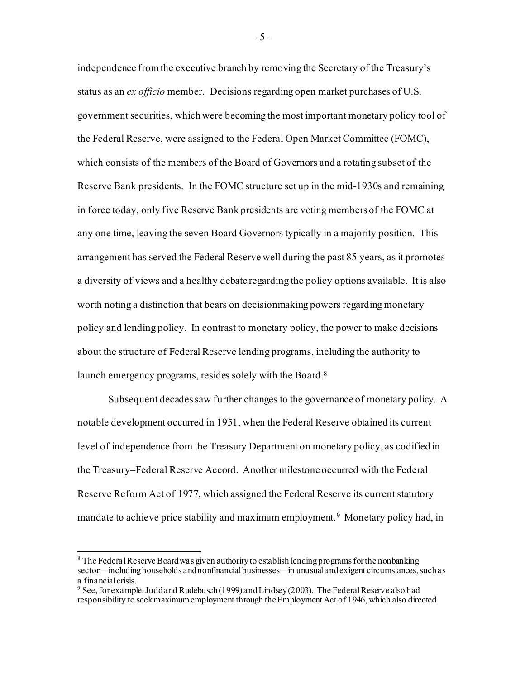independence from the executive branch by removing the Secretary of the Treasury's status as an *ex officio* member. Decisions regarding open market purchases of U.S. government securities, which were becoming the most important monetary policy tool of the Federal Reserve, were assigned to the Federal Open Market Committee (FOMC), which consists of the members of the Board of Governors and a rotating subset of the Reserve Bank presidents. In the FOMC structure set up in the mid-1930s and remaining in force today, only five Reserve Bank presidents are voting members of the FOMC at any one time, leaving the seven Board Governors typically in a majority position. This arrangement has served the Federal Reserve well during the past 85 years, as it promotes a diversity of views and a healthy debate regarding the policy options available. It is also worth noting a distinction that bears on decisionmaking powers regarding monetary policy and lending policy. In contrast to monetary policy, the power to make decisions about the structure of Federal Reserve lending programs, including the authority to launch emergency programs, resides solely with the Board.<sup>8</sup>

Subsequent decades saw further changes to the governance of monetary policy. A notable development occurred in 1951, when the Federal Reserve obtained its current level of independence from the Treasury Department on monetary policy, as codified in the Treasury–Federal Reserve Accord. Another milestone occurred with the Federal Reserve Reform Act of 1977, which assigned the Federal Reserve its current statutory mandate to achieve price stability and maximum employment. [9](#page-5-1) Monetary policy had, in

- 5 -

<span id="page-5-0"></span><sup>&</sup>lt;sup>8</sup> The Federal Reserve Board was given authority to establish lending programs for the nonbanking sector—including households and nonfinancial businesses—in unusual and exigent circumstances, such as a financial crisis.

<span id="page-5-1"></span> $9$  See, for example, Judd and Rudebusch (1999) and Lindsey (2003). The Federal Reserve also had responsibility to seek maximum employment through the Employment Act of 1946, which also directed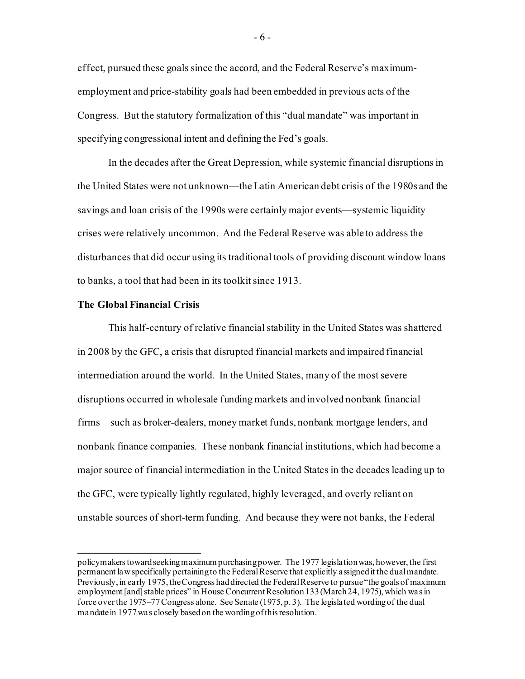effect, pursued these goals since the accord, and the Federal Reserve's maximumemployment and price-stability goals had been embedded in previous acts of the Congress. But the statutory formalization of this "dual mandate" was important in specifying congressional intent and defining the Fed's goals.

In the decades after the Great Depression, while systemic financial disruptions in the United States were not unknown—the Latin American debt crisis of the 1980s and the savings and loan crisis of the 1990s were certainly major events—systemic liquidity crises were relatively uncommon. And the Federal Reserve was able to address the disturbances that did occur using its traditional tools of providing discount window loans to banks, a tool that had been in its toolkit since 1913.

#### **The Global Financial Crisis**

This half-century of relative financial stability in the United States was shattered in 2008 by the GFC, a crisis that disrupted financial markets and impaired financial intermediation around the world. In the United States, many of the most severe disruptions occurred in wholesale funding markets and involved nonbank financial firms—such as broker-dealers, money market funds, nonbank mortgage lenders, and nonbank finance companies. These nonbank financial institutions, which had become a major source of financial intermediation in the United States in the decades leading up to the GFC, were typically lightly regulated, highly leveraged, and overly reliant on unstable sources of short-term funding. And because they were not banks, the Federal

policymakers toward seeking maximum purchasing power. The 1977 legislation was, however,the first permanent law specifically pertaining to the Federal Reserve that explicitly assigned it the dual mandate. Previously, in early 1975, the Congress had directed the Federal Reserve to pursue "the goals of maximum employment [and] stable prices" in House Concurrent Resolution 133 (March 24, 1975), which was in force over the 1975−77 Congress alone. See Senate (1975, p. 3). The legislated wording of the dual mandate in 1977 was closely based on the wording of this resolution.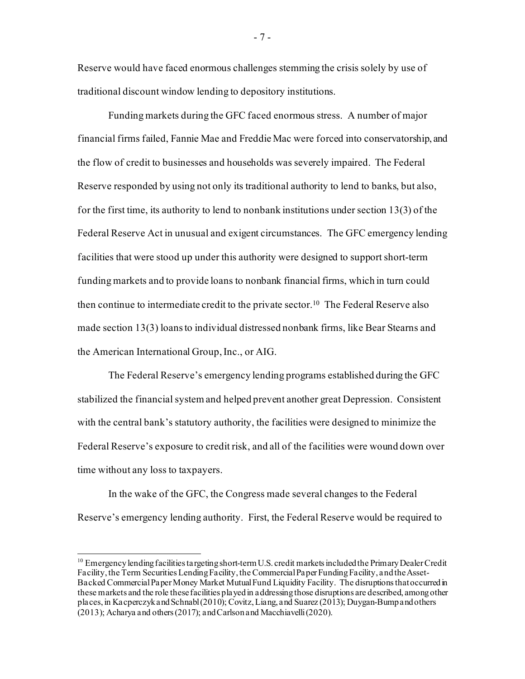Reserve would have faced enormous challenges stemming the crisis solely by use of traditional discount window lending to depository institutions.

Funding markets during the GFC faced enormous stress. A number of major financial firms failed, Fannie Mae and Freddie Mac were forced into conservatorship, and the flow of credit to businesses and households was severely impaired. The Federal Reserve responded by using not only its traditional authority to lend to banks, but also, for the first time, its authority to lend to nonbank institutions under section 13(3) of the Federal Reserve Act in unusual and exigent circumstances. The GFC emergency lending facilities that were stood up under this authority were designed to support short-term funding markets and to provide loans to nonbank financial firms, which in turn could then continue to intermediate credit to the private sector.[10](#page-7-0) The Federal Reserve also made section 13(3) loans to individual distressed nonbank firms, like Bear Stearns and the American International Group, Inc., or AIG.

The Federal Reserve's emergency lending programs established during the GFC stabilized the financial system and helped prevent another great Depression. Consistent with the central bank's statutory authority, the facilities were designed to minimize the Federal Reserve's exposure to credit risk, and all of the facilities were wound down over time without any loss to taxpayers.

In the wake of the GFC, the Congress made several changes to the Federal Reserve's emergency lending authority. First, the Federal Reserve would be required to

- 7 -

<span id="page-7-0"></span><sup>&</sup>lt;sup>10</sup> Emergency lending facilities targeting short-term U.S. credit markets included the Primary Dealer Credit Facility, the Term Securities Lending Facility, the Commercial Paper Funding Facility, and the Asset-Backed Commercial Paper Money Market Mutual Fund Liquidity Facility. The disruptions that occurred in these markets and the role these facilities played in addressing those disruptions are described, among other places, in KacperczykandSchnabl(2010); Covitz, Liang, and Suarez (2013); Duygan-Bump and others (2013); Acharya and others(2017); and Carlson and Macchiavelli (2020).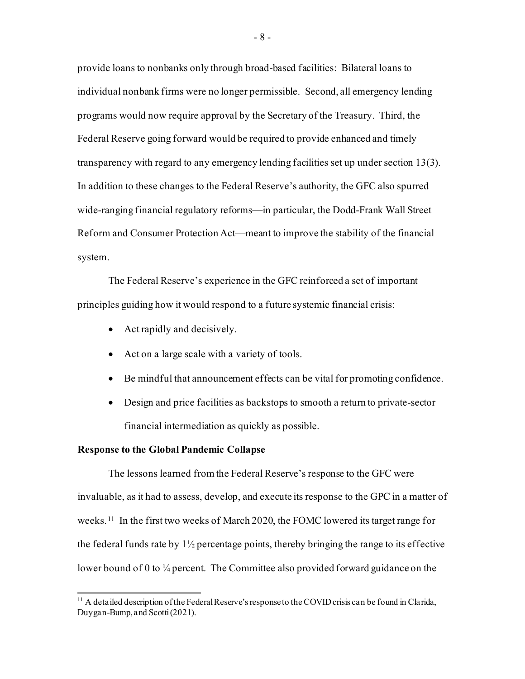provide loans to nonbanks only through broad-based facilities: Bilateral loans to individual nonbank firms were no longer permissible. Second, all emergency lending programs would now require approval by the Secretary of the Treasury. Third, the Federal Reserve going forward would be required to provide enhanced and timely transparency with regard to any emergency lending facilities set up under section 13(3). In addition to these changes to the Federal Reserve's authority, the GFC also spurred wide-ranging financial regulatory reforms—in particular, the Dodd-Frank Wall Street Reform and Consumer Protection Act—meant to improve the stability of the financial system.

The Federal Reserve's experience in the GFC reinforced a set of important principles guiding how it would respond to a future systemic financial crisis:

- Act rapidly and decisively.
- Act on a large scale with a variety of tools.
- Be mindful that announcement effects can be vital for promoting confidence.
- Design and price facilities as backstops to smooth a return to private-sector financial intermediation as quickly as possible.

## **Response to the Global Pandemic Collapse**

The lessons learned from the Federal Reserve's response to the GFC were invaluable, as it had to assess, develop, and execute its response to the GPC in a matter of weeks.<sup>11</sup> In the first two weeks of March 2020, the FOMC lowered its target range for the federal funds rate by  $1\frac{1}{2}$  percentage points, thereby bringing the range to its effective lower bound of 0 to 1/4 percent. The Committee also provided forward guidance on the

<span id="page-8-0"></span> $11$  A detailed description of the Federal Reserve's response to the COVID crisis can be found in Clarida, Duygan-Bump, and Scotti (2021).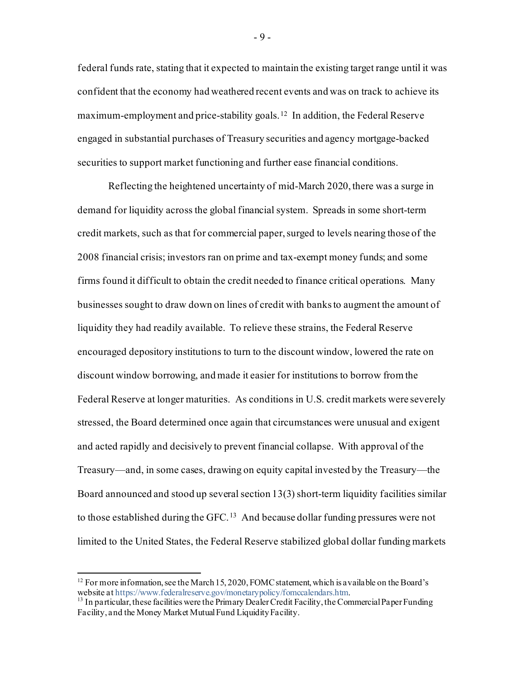federal funds rate, stating that it expected to maintain the existing target range until it was confident that the economy had weathered recent events and was on track to achieve its maximum-employment and price-stability goals.[12](#page-9-0) In addition, the Federal Reserve engaged in substantial purchases of Treasury securities and agency mortgage-backed securities to support market functioning and further ease financial conditions.

Reflecting the heightened uncertainty of mid-March 2020, there was a surge in demand for liquidity across the global financial system. Spreads in some short-term credit markets, such as that for commercial paper, surged to levels nearing those of the 2008 financial crisis; investors ran on prime and tax-exempt money funds; and some firms found it difficult to obtain the credit needed to finance critical operations. Many businesses sought to draw down on lines of credit with banks to augment the amount of liquidity they had readily available. To relieve these strains, the Federal Reserve encouraged depository institutions to turn to the discount window, lowered the rate on discount window borrowing, and made it easier for institutions to borrow from the Federal Reserve at longer maturities. As conditions in U.S. credit markets were severely stressed, the Board determined once again that circumstances were unusual and exigent and acted rapidly and decisively to prevent financial collapse. With approval of the Treasury—and, in some cases, drawing on equity capital invested by the Treasury—the Board announced and stood up several section 13(3) short-term liquidity facilities similar to those established during the GFC. [13](#page-9-1) And because dollar funding pressures were not limited to the United States, the Federal Reserve stabilized global dollar funding markets

- 9 -

<span id="page-9-0"></span><sup>&</sup>lt;sup>12</sup> For more information, see the March 15, 2020, FOMC statement, which is a vailable on the Board's website at https://www.federalreserve.gov/monetarypolicy/fomccalendars.htm.

<span id="page-9-1"></span><sup>&</sup>lt;sup>13</sup> In particular, these facilities were the Primary Dealer Credit Facility, the Commercial Paper Funding Facility, and the Money Market Mutual Fund Liquidity Facility.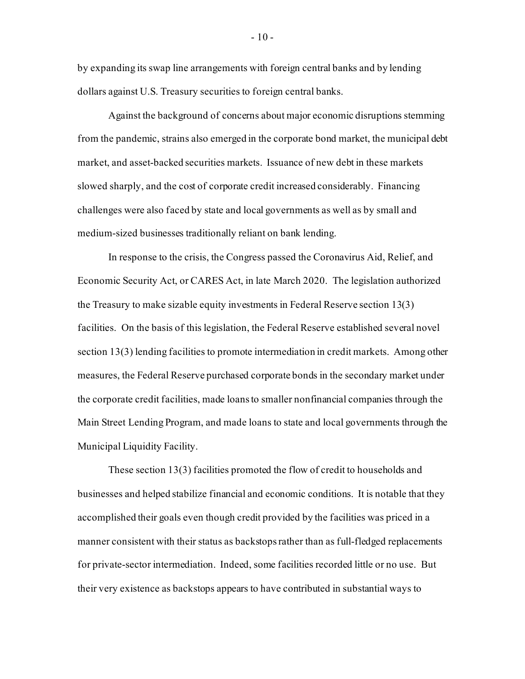by expanding its swap line arrangements with foreign central banks and by lending dollars against U.S. Treasury securities to foreign central banks.

Against the background of concerns about major economic disruptions stemming from the pandemic, strains also emerged in the corporate bond market, the municipal debt market, and asset-backed securities markets. Issuance of new debt in these markets slowed sharply, and the cost of corporate credit increased considerably. Financing challenges were also faced by state and local governments as well as by small and medium-sized businesses traditionally reliant on bank lending.

In response to the crisis, the Congress passed the Coronavirus Aid, Relief, and Economic Security Act, or CARES Act, in late March 2020. The legislation authorized the Treasury to make sizable equity investments in Federal Reserve section 13(3) facilities. On the basis of this legislation, the Federal Reserve established several novel section 13(3) lending facilities to promote intermediation in credit markets. Among other measures, the Federal Reserve purchased corporate bonds in the secondary market under the corporate credit facilities, made loans to smaller nonfinancial companies through the Main Street Lending Program, and made loans to state and local governments through the Municipal Liquidity Facility.

These section 13(3) facilities promoted the flow of credit to households and businesses and helped stabilize financial and economic conditions. It is notable that they accomplished their goals even though credit provided by the facilities was priced in a manner consistent with their status as backstops rather than as full-fledged replacements for private-sector intermediation. Indeed, some facilities recorded little or no use. But their very existence as backstops appears to have contributed in substantial ways to

 $-10-$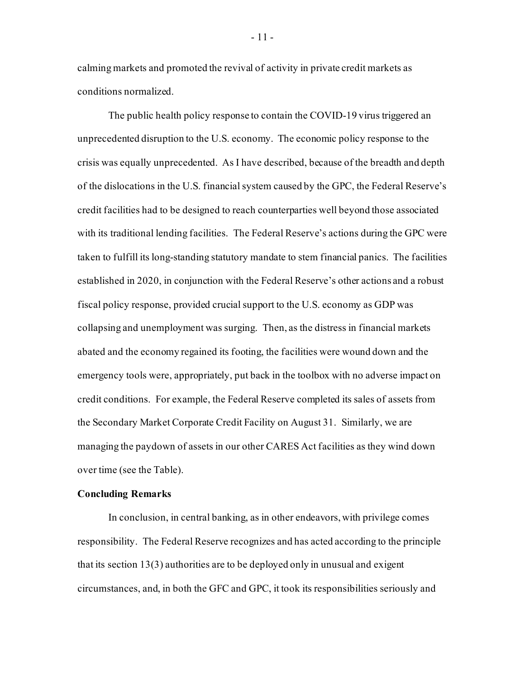calming markets and promoted the revival of activity in private credit markets as conditions normalized.

The public health policy response to contain the COVID-19 virus triggered an unprecedented disruption to the U.S. economy. The economic policy response to the crisis was equally unprecedented. As I have described, because of the breadth and depth of the dislocations in the U.S. financial system caused by the GPC, the Federal Reserve's credit facilities had to be designed to reach counterparties well beyond those associated with its traditional lending facilities. The Federal Reserve's actions during the GPC were taken to fulfill its long-standing statutory mandate to stem financial panics. The facilities established in 2020, in conjunction with the Federal Reserve's other actions and a robust fiscal policy response, provided crucial support to the U.S. economy as GDP was collapsing and unemployment was surging. Then, as the distress in financial markets abated and the economy regained its footing, the facilities were wound down and the emergency tools were, appropriately, put back in the toolbox with no adverse impact on credit conditions. For example, the Federal Reserve completed its sales of assets from the Secondary Market Corporate Credit Facility on August 31. Similarly, we are managing the paydown of assets in our other CARES Act facilities as they wind down over time (see the Table).

### **Concluding Remarks**

In conclusion, in central banking, as in other endeavors, with privilege comes responsibility. The Federal Reserve recognizes and has acted according to the principle that its section 13(3) authorities are to be deployed only in unusual and exigent circumstances, and, in both the GFC and GPC, it took its responsibilities seriously and

- 11 -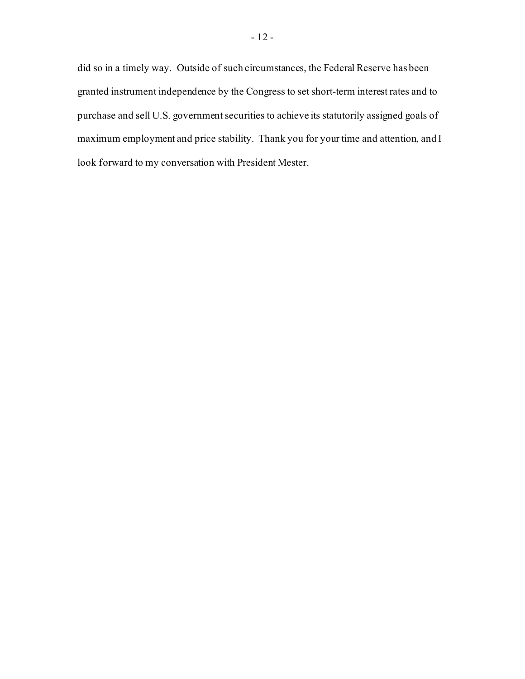did so in a timely way. Outside of such circumstances, the Federal Reserve has been granted instrument independence by the Congress to set short-term interest rates and to purchase and sell U.S. government securities to achieve its statutorily assigned goals of maximum employment and price stability. Thank you for your time and attention, and I look forward to my conversation with President Mester.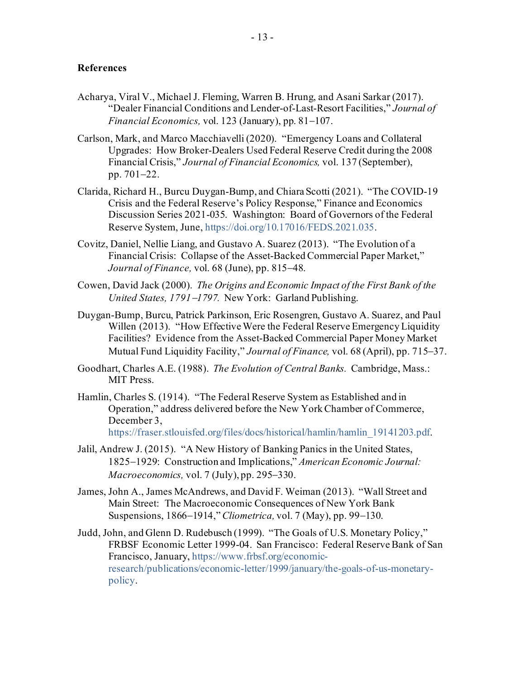# **References**

- Acharya, Viral V., Michael J. Fleming, Warren B. Hrung, and Asani Sarkar (2017). "Dealer Financial Conditions and Lender-of-Last-Resort Facilities," *Journal of Financial Economics,* vol. 123 (January), pp. 81−107.
- Carlson, Mark, and Marco Macchiavelli (2020). "Emergency Loans and Collateral Upgrades: How Broker-Dealers Used Federal Reserve Credit during the 2008 Financial Crisis," *Journal of Financial Economics,* vol. 137 (September), pp. 701−22.
- Clarida, Richard H., Burcu Duygan-Bump, and Chiara Scotti (2021). "The COVID-19 Crisis and the Federal Reserve's Policy Response," Finance and Economics Discussion Series 2021-035. Washington: Board of Governors of the Federal Reserve System, June[, https://doi.org/10.17016/FEDS.2021.035](https://doi.org/10.17016/FEDS.2021.035).
- Covitz, Daniel, Nellie Liang, and Gustavo A. Suarez (2013). "The Evolution of a Financial Crisis: Collapse of the Asset-Backed Commercial Paper Market," *Journal of Finance,* vol. 68 (June), pp. 815−48.
- Cowen, David Jack (2000). *The Origins and Economic Impact of the First Bank of the United States, 1791*−*1797.* New York: Garland Publishing.
- Duygan-Bump, Burcu, Patrick Parkinson, Eric Rosengren, Gustavo A. Suarez, and Paul Willen (2013). "How Effective Were the Federal Reserve Emergency Liquidity Facilities? Evidence from the Asset-Backed Commercial Paper Money Market Mutual Fund Liquidity Facility," *Journal of Finance,* vol. 68 (April), pp. 715−37.
- Goodhart, Charles A.E. (1988). *The Evolution of Central Banks.* Cambridge, Mass.: **MIT Press.**
- Hamlin, Charles S. (1914). "The Federal Reserve System as Established and in Operation," address delivered before the New York Chamber of Commerce, December 3, [https://fraser.stlouisfed.org/files/docs/historical/hamlin/hamlin\\_19141203.pdf](https://fraser.stlouisfed.org/files/docs/historical/hamlin/hamlin_19141203.pdf).
- Jalil, Andrew J. (2015). "A New History of Banking Panics in the United States, 1825−1929: Construction and Implications," *American Economic Journal: Macroeconomics,* vol. 7 (July), pp. 295−330.
- James, John A., James McAndrews, and David F. Weiman (2013). "Wall Street and Main Street: The Macroeconomic Consequences of New York Bank Suspensions, 1866−1914," *Cliometrica,* vol. 7 (May), pp. 99−130.
- Judd, John, and Glenn D. Rudebusch (1999). "The Goals of U.S. Monetary Policy," FRBSF Economic Letter 1999-04. San Francisco: Federal Reserve Bank of San Francisco, January, [https://www.frbsf.org/economic](https://www.frbsf.org/economic-research/publications/economic-letter/1999/january/the-goals-of-us-monetary-policy/)[research/publications/economic-letter/1999/january/the-goals-of-us-monetary](https://www.frbsf.org/economic-research/publications/economic-letter/1999/january/the-goals-of-us-monetary-policy/)[policy.](https://www.frbsf.org/economic-research/publications/economic-letter/1999/january/the-goals-of-us-monetary-policy/)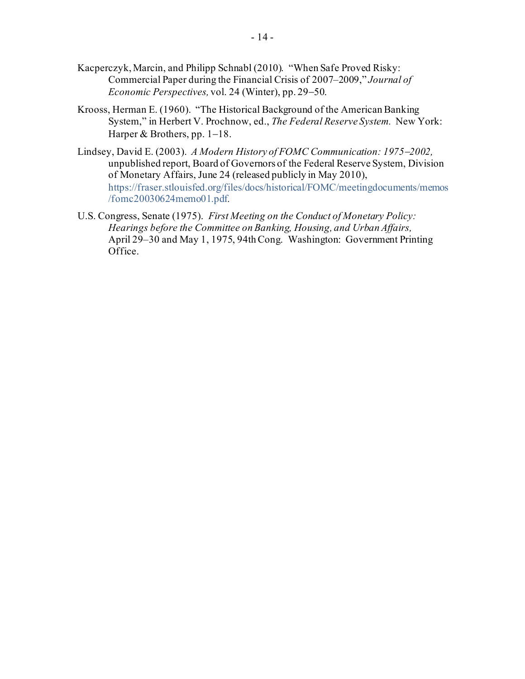- Kacperczyk, Marcin, and Philipp Schnabl (2010). "When Safe Proved Risky: Commercial Paper during the Financial Crisis of 2007–2009," *Journal of Economic Perspectives,* vol. 24 (Winter), pp. 29−50.
- Krooss, Herman E. (1960). "The Historical Background of the American Banking System," in Herbert V. Prochnow, ed., *The Federal Reserve System.* New York: Harper & Brothers, pp. 1−18.
- Lindsey, David E. (2003). *A Modern History of FOMC Communication: 1975*−*2002,* unpublished report, Board of Governors of the Federal Reserve System, Division of Monetary Affairs, June 24 (released publicly in May 2010), [https://fraser.stlouisfed.org/files/docs/historical/FOMC/meetingdocuments/memos](https://fraser.stlouisfed.org/files/docs/historical/FOMC/meetingdocuments/memos/fomc20030624memo01.pdf) [/fomc20030624memo01.pdf](https://fraser.stlouisfed.org/files/docs/historical/FOMC/meetingdocuments/memos/fomc20030624memo01.pdf)*.*
- U.S. Congress, Senate (1975). *First Meeting on the Conduct of Monetary Policy: Hearings before the Committee on Banking, Housing, and Urban Affairs,*  April 29–30 and May 1, 1975, 94th Cong. Washington: Government Printing Office.